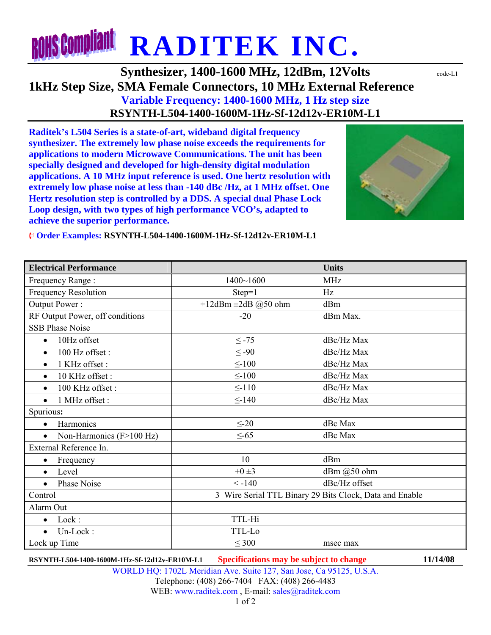## **RONS Compliant RADITEK INC.**

## **Synthesizer, 1400-1600 MHz, 12dBm, 12Volts**  $\text{code}$ **1kHz Step Size, SMA Female Connectors, 10 MHz External Reference Variable Frequency: 1400-1600 MHz, 1 Hz step size RSYNTH-L504-1400-1600M-1Hz-Sf-12d12v-ER10M-L1**

**Raditek's L504 Series is a state-of-art, wideband digital frequency synthesizer. The extremely low phase noise exceeds the requirements for applications to modern Microwave Communications. The unit has been specially designed and developed for high-density digital modulation applications. A 10 MHz input reference is used. One hertz resolution with extremely low phase noise at less than -140 dBc /Hz, at 1 MHz offset. One Hertz resolution step is controlled by a DDS. A special dual Phase Lock Loop design, with two types of high performance VCO's, adapted to achieve the superior performance.**



¨ **Order Examples: RSYNTH-L504-1400-1600M-1Hz-Sf-12d12v-ER10M-L1** 

| <b>Electrical Performance</b>         |                                                         | <b>Units</b>  |
|---------------------------------------|---------------------------------------------------------|---------------|
| Frequency Range:                      | $1400 - 1600$                                           | <b>MHz</b>    |
| Frequency Resolution                  | $Step=1$                                                | Hz            |
| Output Power:                         | +12dBm $\pm$ 2dB @50 ohm                                | dBm           |
| RF Output Power, off conditions       | $-20$                                                   | dBm Max.      |
| <b>SSB Phase Noise</b>                |                                                         |               |
| 10Hz offset<br>$\bullet$              | $\leq$ -75                                              | dBc/Hz Max    |
| 100 Hz offset:<br>$\bullet$           | $\leq -90$                                              | dBc/Hz Max    |
| 1 KHz offset:                         | $\leq$ -100                                             | dBc/Hz Max    |
| 10 KHz offset:<br>$\bullet$           | $\leq$ -100                                             | dBc/Hz Max    |
| 100 KHz offset:<br>$\bullet$          | $\leq$ -110                                             | dBc/Hz Max    |
| 1 MHz offset :<br>$\bullet$           | $\leq$ -140                                             | dBc/Hz Max    |
| Spurious:                             |                                                         |               |
| Harmonics<br>$\bullet$                | $\leq$ -20                                              | dBc Max       |
| Non-Harmonics (F>100 Hz)<br>$\bullet$ | $\leq$ -65                                              | dBc Max       |
| External Reference In.                |                                                         |               |
| Frequency<br>$\bullet$                | 10                                                      | dBm           |
| Level<br>$\bullet$                    | $+0\pm3$                                                | dBm @50 ohm   |
| Phase Noise<br>$\bullet$              | $< -140$                                                | dBc/Hz offset |
| Control                               | 3 Wire Serial TTL Binary 29 Bits Clock, Data and Enable |               |
| Alarm Out                             |                                                         |               |
| Lock:<br>$\bullet$                    | TTL-Hi                                                  |               |
| Un-Lock:<br>$\bullet$                 | TTL-Lo                                                  |               |
| Lock up Time                          | $\leq 300$                                              | msec max      |

**RSYNTH-L504-1400-1600M-1Hz-Sf-12d12v-ER10M-L1 Specifications may be subject to change 11/14/08**

WORLD HQ: 1702L Meridian Ave. Suite 127, San Jose, Ca 95125, U.S.A.

Telephone: (408) 266-7404 FAX: (408) 266-4483 WEB: www.raditek.com, E-mail: sales@raditek.com